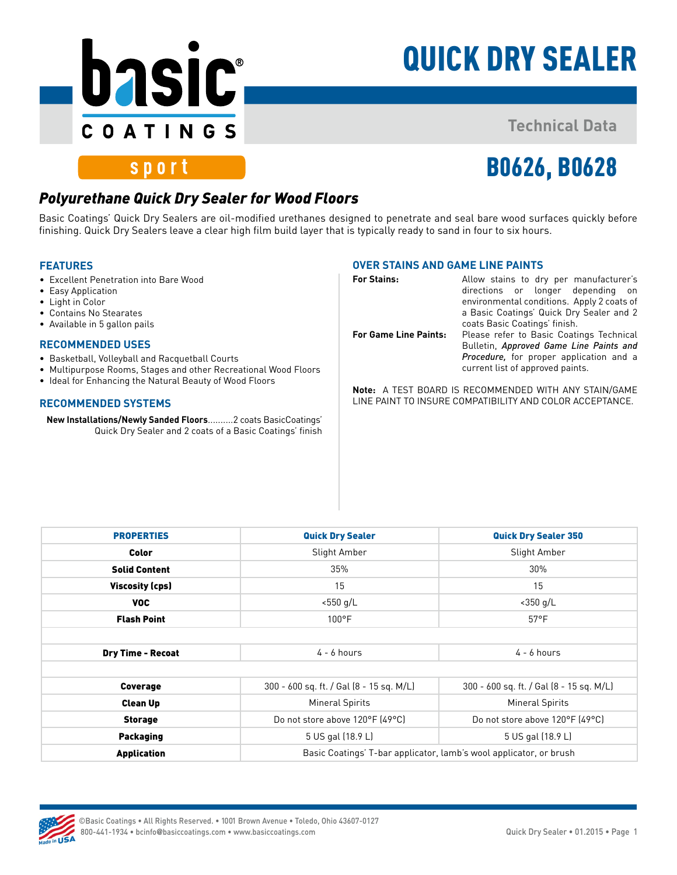

# QUICK DRY SEALER

### **Technical Data**

## sport

# B0626, B0628

### *Polyurethane Quick Dry Sealer for Wood Floors*

Basic Coatings' Quick Dry Sealers are oil-modified urethanes designed to penetrate and seal bare wood surfaces quickly before finishing. Quick Dry Sealers leave a clear high film build layer that is typically ready to sand in four to six hours.

#### **FEATURES**

- Excellent Penetration into Bare Wood
- Easy Application
- Light in Color
- Contains No Stearates
- Available in 5 gallon pails

#### **RECOMMENDED USES**

- Basketball, Volleyball and Racquetball Courts
- Multipurpose Rooms, Stages and other Recreational Wood Floors
- Ideal for Enhancing the Natural Beauty of Wood Floors

#### **RECOMMENDED SYSTEMS**

**New Installations/Newly Sanded Floors**..........2 coats BasicCoatings' Quick Dry Sealer and 2 coats of a Basic Coatings' finish

#### **OVER STAINS AND GAME LINE PAINTS**

| <b>For Stains:</b>           | Allow stains to dry per manufacturer's<br>directions or longer depending<br>on on<br>environmental conditions. Apply 2 coats of<br>a Basic Coatings' Quick Dry Sealer and 2 |  |
|------------------------------|-----------------------------------------------------------------------------------------------------------------------------------------------------------------------------|--|
| <b>For Game Line Paints:</b> | coats Basic Coatings' finish.<br>Please refer to Basic Coatings Technical<br>Bulletin, Approved Game Line Paints and                                                        |  |
|                              | <b>Procedure</b> , for proper application and a<br>current list of approved paints.                                                                                         |  |

**Note:** A TEST BOARD IS RECOMMENDED WITH ANY STAIN/GAME LINE PAINT TO INSURE COMPATIBILITY AND COLOR ACCEPTANCE.

| <b>PROPERTIES</b>        | <b>Quick Dry Sealer</b>                                            | <b>Quick Dry Sealer 350</b>              |
|--------------------------|--------------------------------------------------------------------|------------------------------------------|
| Color                    | Slight Amber                                                       | Slight Amber                             |
| <b>Solid Content</b>     | 35%                                                                | 30%                                      |
| <b>Viscosity (cps)</b>   | 15                                                                 | 15                                       |
| VOC.                     | $< 550$ g/L                                                        | $<$ 350 g/L                              |
| <b>Flash Point</b>       | $100^{\circ}$ F                                                    | $57^{\circ}$ F                           |
| <b>Dry Time - Recoat</b> | $4 - 6$ hours                                                      | $4 - 6$ hours                            |
| Coverage                 | 300 - 600 sq. ft. / Gal (8 - 15 sq. M/L)                           | 300 - 600 sq. ft. / Gal (8 - 15 sq. M/L) |
| <b>Clean Up</b>          | <b>Mineral Spirits</b>                                             | <b>Mineral Spirits</b>                   |
| <b>Storage</b>           | Do not store above 120°F (49°C)                                    | Do not store above 120°F (49°C)          |
| <b>Packaging</b>         | 5 US gal (18.9 L)                                                  | 5 US gal (18.9 L)                        |
| <b>Application</b>       | Basic Coatings' T-bar applicator, lamb's wool applicator, or brush |                                          |